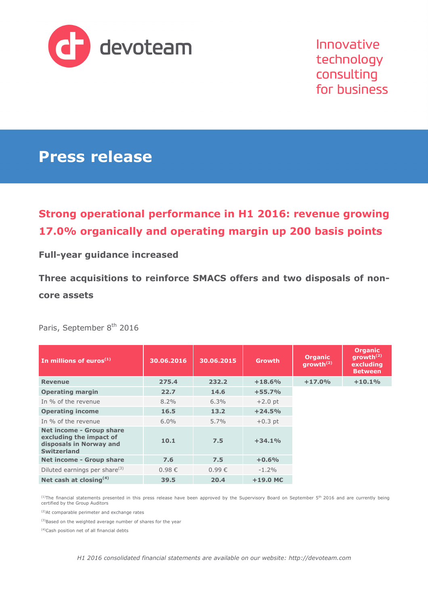

Innovative technology consulting for business

# **Press release**

## **Strong operational performance in H1 2016: revenue growing 17.0% organically and operating margin up 200 basis points**

## **Full-year guidance increased**

**Three acquisitions to reinforce SMACS offers and two disposals of noncore assets** 

Paris, September 8<sup>th</sup> 2016

| In millions of euros $(1)$                                                                                  | 30.06.2016 | 30.06.2015 | <b>Growth</b> | <b>Organic</b><br>growth $(2)$ | <b>Organic</b><br>growth $^{(2)}$<br>excluding<br><b>Between</b> |
|-------------------------------------------------------------------------------------------------------------|------------|------------|---------------|--------------------------------|------------------------------------------------------------------|
| <b>Revenue</b>                                                                                              | 275.4      | 232.2      | $+18.6%$      | $+17.0%$                       | $+10.1%$                                                         |
| <b>Operating margin</b>                                                                                     | 22.7       | 14.6       | $+55.7%$      |                                |                                                                  |
| In % of the revenue                                                                                         | $8.2\%$    | 6.3%       | $+2.0$ pt     |                                |                                                                  |
| <b>Operating income</b>                                                                                     | 16.5       | 13.2       | $+24.5%$      |                                |                                                                  |
| In % of the revenue                                                                                         | $6.0\%$    | $5.7\%$    | $+0.3$ pt     |                                |                                                                  |
| <b>Net income - Group share</b><br>excluding the impact of<br>disposals in Norway and<br><b>Switzerland</b> | 10.1       | 7.5        | $+34.1%$      |                                |                                                                  |
| Net income - Group share                                                                                    | 7.6        | 7.5        | $+0.6%$       |                                |                                                                  |
| Diluted earnings per share <sup>(3)</sup>                                                                   | $0.98 \in$ | $0.99 \in$ | $-1.2\%$      |                                |                                                                  |
| Net cash at closing <sup>(4)</sup>                                                                          | 39.5       | 20.4       | $+19.0$ ME    |                                |                                                                  |

<sup>(1)</sup>The financial statements presented in this press release have been approved by the Supervisory Board on September 5<sup>th</sup> 2016 and are currently being<br>certified by the Group Auditors

(2)At comparable perimeter and exchange rates

(3)Based on the weighted average number of shares for the year

(4)Cash position net of all financial debts

*H1 2016 consolidated financial statements are available on our website: http://devoteam.com*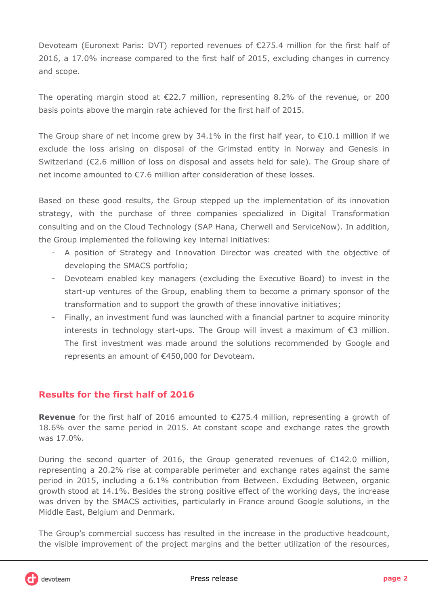Devoteam (Euronext Paris: DVT) reported revenues of €275.4 million for the first half of 2016, a 17.0% increase compared to the first half of 2015, excluding changes in currency and scope.

The operating margin stood at  $\epsilon$ 22.7 million, representing 8.2% of the revenue, or 200 basis points above the margin rate achieved for the first half of 2015.

The Group share of net income grew by 34.1% in the first half year, to  $\epsilon$ 10.1 million if we exclude the loss arising on disposal of the Grimstad entity in Norway and Genesis in Switzerland (€2.6 million of loss on disposal and assets held for sale). The Group share of net income amounted to €7.6 million after consideration of these losses.

Based on these good results, the Group stepped up the implementation of its innovation strategy, with the purchase of three companies specialized in Digital Transformation consulting and on the Cloud Technology (SAP Hana, Cherwell and ServiceNow). In addition, the Group implemented the following key internal initiatives:

- A position of Strategy and Innovation Director was created with the objective of developing the SMACS portfolio;
- Devoteam enabled key managers (excluding the Executive Board) to invest in the start-up ventures of the Group, enabling them to become a primary sponsor of the transformation and to support the growth of these innovative initiatives;
- Finally, an investment fund was launched with a financial partner to acquire minority interests in technology start-ups. The Group will invest a maximum of €3 million. The first investment was made around the solutions recommended by Google and represents an amount of €450,000 for Devoteam.

### **Results for the first half of 2016**

**Revenue** for the first half of 2016 amounted to €275.4 million, representing a growth of 18.6% over the same period in 2015. At constant scope and exchange rates the growth was 17.0%.

During the second quarter of 2016, the Group generated revenues of €142.0 million, representing a 20.2% rise at comparable perimeter and exchange rates against the same period in 2015, including a 6.1% contribution from Between. Excluding Between, organic growth stood at 14.1%. Besides the strong positive effect of the working days, the increase was driven by the SMACS activities, particularly in France around Google solutions, in the Middle East, Belgium and Denmark.

The Group's commercial success has resulted in the increase in the productive headcount, the visible improvement of the project margins and the better utilization of the resources,

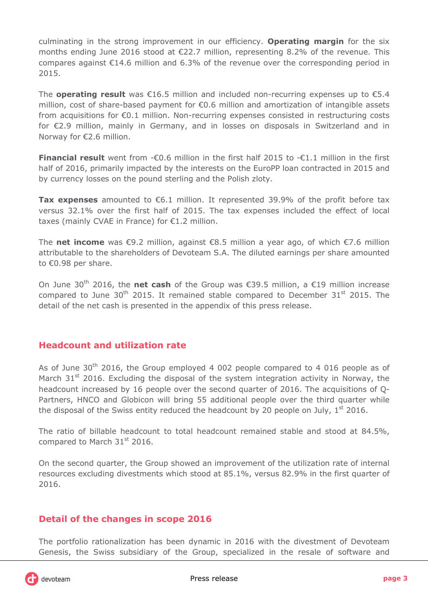culminating in the strong improvement in our efficiency. **Operating margin** for the six months ending June 2016 stood at  $\epsilon$ 22.7 million, representing 8.2% of the revenue. This compares against  $E14.6$  million and 6.3% of the revenue over the corresponding period in 2015.

The **operating result** was €16.5 million and included non-recurring expenses up to €5.4 million, cost of share-based payment for €0.6 million and amortization of intangible assets from acquisitions for €0.1 million. Non-recurring expenses consisted in restructuring costs for €2.9 million, mainly in Germany, and in losses on disposals in Switzerland and in Norway for €2.6 million.

**Financial result** went from -€0.6 million in the first half 2015 to -€1.1 million in the first half of 2016, primarily impacted by the interests on the EuroPP loan contracted in 2015 and by currency losses on the pound sterling and the Polish zloty.

**Tax expenses** amounted to €6.1 million. It represented 39.9% of the profit before tax versus 32.1% over the first half of 2015. The tax expenses included the effect of local taxes (mainly CVAE in France) for €1.2 million.

The **net income** was €9.2 million, against €8.5 million a year ago, of which €7.6 million attributable to the shareholders of Devoteam S.A. The diluted earnings per share amounted to €0.98 per share.

On June 30th 2016, the **net cash** of the Group was €39.5 million, a €19 million increase compared to June 30<sup>th</sup> 2015. It remained stable compared to December 31<sup>st</sup> 2015. The detail of the net cash is presented in the appendix of this press release.

### **Headcount and utilization rate**

As of June  $30<sup>th</sup>$  2016, the Group employed 4 002 people compared to 4 016 people as of March  $31<sup>st</sup>$  2016. Excluding the disposal of the system integration activity in Norway, the headcount increased by 16 people over the second quarter of 2016. The acquisitions of Q-Partners, HNCO and Globicon will bring 55 additional people over the third quarter while the disposal of the Swiss entity reduced the headcount by 20 people on July,  $1<sup>st</sup>$  2016.

The ratio of billable headcount to total headcount remained stable and stood at 84.5%, compared to March 31<sup>st</sup> 2016.

On the second quarter, the Group showed an improvement of the utilization rate of internal resources excluding divestments which stood at 85.1%, versus 82.9% in the first quarter of 2016.

## **Detail of the changes in scope 2016**

The portfolio rationalization has been dynamic in 2016 with the divestment of Devoteam Genesis, the Swiss subsidiary of the Group, specialized in the resale of software and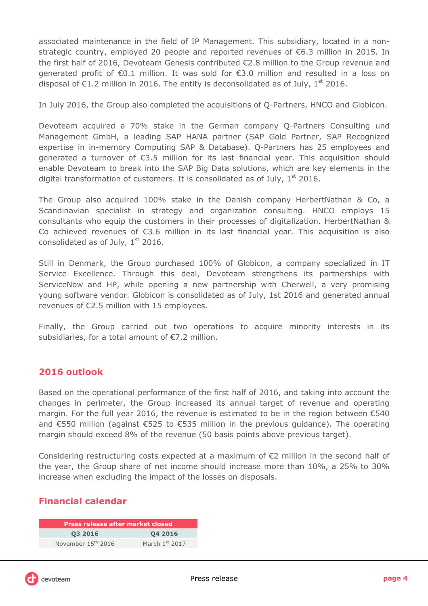associated maintenance in the field of IP Management. This subsidiary, located in a nonstrategic country, employed 20 people and reported revenues of €6.3 million in 2015. In the first half of 2016, Devoteam Genesis contributed €2.8 million to the Group revenue and generated profit of €0.1 million. It was sold for €3.0 million and resulted in a loss on disposal of  $\epsilon$ 1.2 million in 2016. The entity is deconsolidated as of July, 1<sup>st</sup> 2016.

In July 2016, the Group also completed the acquisitions of Q-Partners, HNCO and Globicon.

Devoteam acquired a 70% stake in the German company Q-Partners Consulting und Management GmbH, a leading SAP HANA partner (SAP Gold Partner, SAP Recognized expertise in in-memory Computing SAP & Database). Q-Partners has 25 employees and generated a turnover of €3.5 million for its last financial year. This acquisition should enable Devoteam to break into the SAP Big Data solutions, which are key elements in the digital transformation of customers. It is consolidated as of July,  $1<sup>st</sup>$  2016.

The Group also acquired 100% stake in the Danish company HerbertNathan & Co, a Scandinavian specialist in strategy and organization consulting. HNCO employs 15 consultants who equip the customers in their processes of digitalization. HerbertNathan & Co achieved revenues of €3.6 million in its last financial year. This acquisition is also consolidated as of July,  $1<sup>st</sup>$  2016.

Still in Denmark, the Group purchased 100% of Globicon, a company specialized in IT Service Excellence. Through this deal, Devoteam strengthens its partnerships with ServiceNow and HP, while opening a new partnership with Cherwell, a very promising young software vendor. Globicon is consolidated as of July, 1st 2016 and generated annual revenues of €2.5 million with 15 employees.

Finally, the Group carried out two operations to acquire minority interests in its subsidiaries, for a total amount of €7.2 million.

### **2016 outlook**

Based on the operational performance of the first half of 2016, and taking into account the changes in perimeter, the Group increased its annual target of revenue and operating margin. For the full year 2016, the revenue is estimated to be in the region between €540 and €550 million (against €525 to €535 million in the previous guidance). The operating margin should exceed 8% of the revenue (50 basis points above previous target).

Considering restructuring costs expected at a maximum of  $E$ 2 million in the second half of the year, the Group share of net income should increase more than 10%, a 25% to 30% increase when excluding the impact of the losses on disposals.

### **Financial calendar**

| <b>Press release after market closed</b> |                  |  |  |  |
|------------------------------------------|------------------|--|--|--|
| 03 2016                                  | 04 2016          |  |  |  |
| November 15 <sup>th</sup> 2016           | March $1st$ 2017 |  |  |  |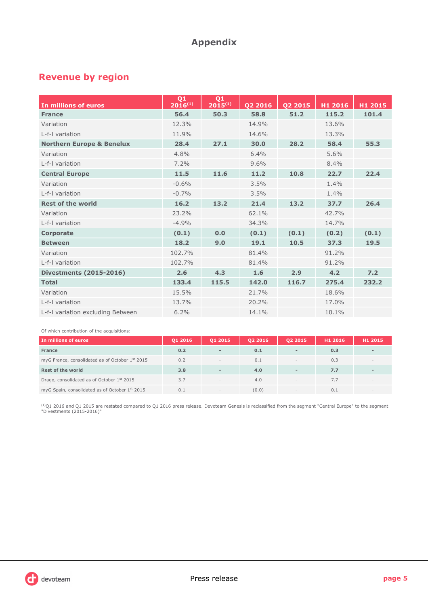## **Appendix**

## **Revenue by region**

| In millions of euros                 | Q <sub>1</sub><br>$2016^{(1)}$ | Q1<br>$2015^{(1)}$ | Q2 2016 | Q2 2015 | H1 2016 | H1 2015 |
|--------------------------------------|--------------------------------|--------------------|---------|---------|---------|---------|
| <b>France</b>                        | 56.4                           | 50.3               | 58.8    | 51.2    | 115.2   | 101.4   |
| Variation                            | 12.3%                          |                    | 14.9%   |         | 13.6%   |         |
| L-f-I variation                      | 11.9%                          |                    | 14.6%   |         | 13.3%   |         |
| <b>Northern Europe &amp; Benelux</b> | 28.4                           | 27.1               | 30.0    | 28.2    | 58.4    | 55.3    |
| Variation                            | 4.8%                           |                    | 6.4%    |         | 5.6%    |         |
| L-f-I variation                      | 7.2%                           |                    | 9.6%    |         | 8.4%    |         |
| <b>Central Europe</b>                | 11.5                           | 11.6               | 11.2    | 10.8    | 22.7    | 22.4    |
| Variation                            | $-0.6%$                        |                    | 3.5%    |         | 1.4%    |         |
| L-f-I variation                      | $-0.7%$                        |                    | 3.5%    |         | 1.4%    |         |
| <b>Rest of the world</b>             | 16.2                           | 13.2               | 21.4    | 13.2    | 37.7    | 26.4    |
| Variation                            | 23.2%                          |                    | 62.1%   |         | 42.7%   |         |
| L-f-I variation                      | $-4.9%$                        |                    | 34.3%   |         | 14.7%   |         |
| <b>Corporate</b>                     | (0.1)                          | 0.0                | (0.1)   | (0.1)   | (0.2)   | (0.1)   |
| <b>Between</b>                       | 18.2                           | 9.0                | 19.1    | 10.5    | 37.3    | 19.5    |
| Variation                            | 102.7%                         |                    | 81.4%   |         | 91.2%   |         |
| L-f-I variation                      | 102.7%                         |                    | 81.4%   |         | 91.2%   |         |
| <b>Divestments (2015-2016)</b>       | 2.6                            | 4.3                | 1.6     | 2.9     | 4.2     | 7.2     |
| <b>Total</b>                         | 133.4                          | 115.5              | 142.0   | 116.7   | 275.4   | 232.2   |
| Variation                            | 15.5%                          |                    | 21.7%   |         | 18.6%   |         |
| L-f-I variation                      | 13.7%                          |                    | 20.2%   |         | 17.0%   |         |
| L-f-I variation excluding Between    | 6.2%                           |                    | 14.1%   |         | 10.1%   |         |

#### Of which contribution of the acquisitions:

| In millions of euros                                        | 01 2016 | 01 2015                  | 02 2016 | 02 2015                  | H1 2016 | H1 2015 |
|-------------------------------------------------------------|---------|--------------------------|---------|--------------------------|---------|---------|
| France                                                      | 0.2     | $\overline{\phantom{a}}$ | 0.1     | $\overline{\phantom{a}}$ | 0.3     |         |
| myG France, consolidated as of October 1 <sup>st</sup> 2015 | 0.2     | $\overline{\phantom{a}}$ | 0.1     | $\sim$                   | 0.3     |         |
| <b>Rest of the world</b>                                    | 3.8     | $\sim$                   | 4.0     | $\,$                     | 7.7     |         |
| Drago, consolidated as of October 1 <sup>st</sup> 2015      | 3.7     | $\overline{\phantom{a}}$ | 4.0     | $\,$                     | 7.7     |         |
| myG Spain, consolidated as of October 1st 2015              | 0.1     | $\overline{\phantom{a}}$ | (0.0)   | $\,$                     | 0.1     |         |

<sup>(1)</sup>Q1 2016 and Q1 2015 are restated compared to Q1 2016 press release. Devoteam Genesis is reclassified from the segment "Central Europe" to the segment<br>"Divestments (2015-2016)"

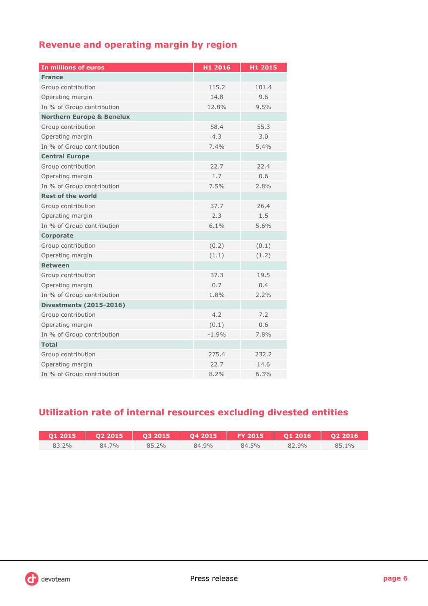## **Revenue and operating margin by region**

| In millions of euros                 | H1 2016 | H1 2015 |  |
|--------------------------------------|---------|---------|--|
| <b>France</b>                        |         |         |  |
| Group contribution                   | 115.2   | 101.4   |  |
| Operating margin                     | 14.8    | 9.6     |  |
| In % of Group contribution           | 12.8%   | 9.5%    |  |
| <b>Northern Europe &amp; Benelux</b> |         |         |  |
| Group contribution                   | 58.4    | 55.3    |  |
| Operating margin                     | 4.3     | 3.0     |  |
| In % of Group contribution           | 7.4%    | 5.4%    |  |
| <b>Central Europe</b>                |         |         |  |
| Group contribution                   | 22.7    | 22.4    |  |
| Operating margin                     | 1.7     | 0.6     |  |
| In % of Group contribution           | 7.5%    | 2.8%    |  |
| <b>Rest of the world</b>             |         |         |  |
| Group contribution                   | 37.7    | 26.4    |  |
| Operating margin                     | 2.3     | 1.5     |  |
| In % of Group contribution           | 6.1%    | 5.6%    |  |
| <b>Corporate</b>                     |         |         |  |
| Group contribution                   | (0.2)   | (0.1)   |  |
| Operating margin                     | (1.1)   | (1.2)   |  |
| <b>Between</b>                       |         |         |  |
| Group contribution                   | 37.3    | 19.5    |  |
| Operating margin                     | 0.7     | 0.4     |  |
| In % of Group contribution           | 1.8%    | 2.2%    |  |
| <b>Divestments (2015-2016)</b>       |         |         |  |
| Group contribution                   | 4.2     | 7.2     |  |
| Operating margin                     | (0.1)   | 0.6     |  |
| In % of Group contribution           | $-1.9%$ | 7.8%    |  |
| <b>Total</b>                         |         |         |  |
| Group contribution                   | 275.4   | 232.2   |  |
| Operating margin                     | 22.7    | 14.6    |  |
| In % of Group contribution           | 8.2%    | 6.3%    |  |

## **Utilization rate of internal resources excluding divested entities**

|       |       | Q1 2015   Q2 2015   Q3 2015   Q4 2015   FY 2015   Q1 2016   Q2 2016 |       |       |       |                 |
|-------|-------|---------------------------------------------------------------------|-------|-------|-------|-----------------|
| 83.2% | 84.7% | 85.2%                                                               | 84.9% | 84.5% | 82.9% | 10 <sub>0</sub> |

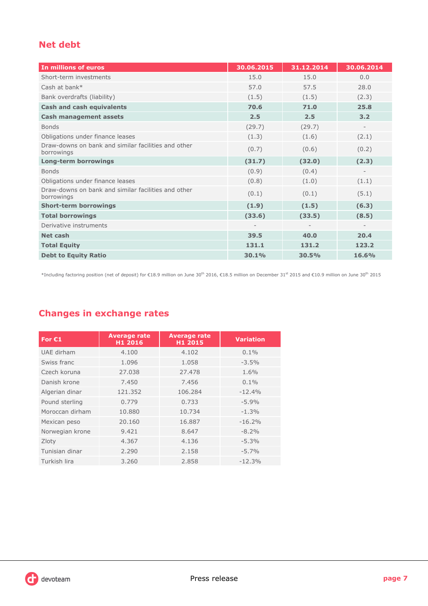## **Net debt**

| In millions of euros                                              | 30.06.2015 | 31.12.2014 | 30.06.2014 |
|-------------------------------------------------------------------|------------|------------|------------|
| Short-term investments                                            | 15.0       | 15.0       | 0.0        |
| Cash at bank*                                                     | 57.0       | 57.5       | 28.0       |
| Bank overdrafts (liability)                                       | (1.5)      | (1.5)      | (2.3)      |
| <b>Cash and cash equivalents</b>                                  | 70.6       | 71.0       | 25.8       |
| <b>Cash management assets</b>                                     | 2.5        | 2.5        | 3.2        |
| <b>Bonds</b>                                                      | (29.7)     | (29.7)     |            |
| Obligations under finance leases                                  | (1.3)      | (1.6)      | (2.1)      |
| Draw-downs on bank and similar facilities and other<br>borrowings | (0.7)      | (0.6)      | (0.2)      |
| <b>Long-term borrowings</b>                                       | (31.7)     | (32.0)     | (2.3)      |
| <b>Bonds</b>                                                      | (0.9)      | (0.4)      |            |
| Obligations under finance leases                                  | (0.8)      | (1.0)      | (1.1)      |
| Draw-downs on bank and similar facilities and other<br>borrowings | (0.1)      | (0.1)      | (5.1)      |
| <b>Short-term borrowings</b>                                      | (1.9)      | (1.5)      | (6.3)      |
| <b>Total borrowings</b>                                           | (33.6)     | (33.5)     | (8.5)      |
| Derivative instruments                                            |            |            |            |
| Net cash                                                          | 39.5       | 40.0       | 20.4       |
| <b>Total Equity</b>                                               | 131.1      | 131.2      | 123.2      |
| <b>Debt to Equity Ratio</b>                                       | 30.1%      | 30.5%      | 16.6%      |

\*Including factoring position (net of deposit) for €18.9 million on June 30th 2016, €18.5 million on December 31st 2015 and €10.9 million on June 30th 2015

## **Changes in exchange rates**

| For $C1$        | <b>Average rate</b><br>H1 2016 | <b>Average rate</b><br>H1 2015 | <b>Variation</b> |
|-----------------|--------------------------------|--------------------------------|------------------|
| UAE dirham      | 4.100                          | 4.102                          | $0.1\%$          |
| Swiss franc     | 1.096                          | 1.058                          | $-3.5%$          |
| Czech koruna    | 27,038                         | 27.478                         | 1.6%             |
| Danish krone    | 7.450                          | 7.456                          | $0.1\%$          |
| Algerian dinar  | 121.352                        | 106.284                        | $-12.4%$         |
| Pound sterling  | 0.779                          | 0.733                          | $-5.9%$          |
| Moroccan dirham | 10.880                         | 10.734                         | $-1.3%$          |
| Mexican peso    | 20.160                         | 16.887                         | $-16.2%$         |
| Norwegian krone | 9.421                          | 8.647                          | $-8.2\%$         |
| Zloty           | 4.367                          | 4.136                          | $-5.3%$          |
| Tunisian dinar  | 2.290                          | 2.158                          | $-5.7\%$         |
| Turkish lira    | 3.260                          | 2.858                          | $-12.3%$         |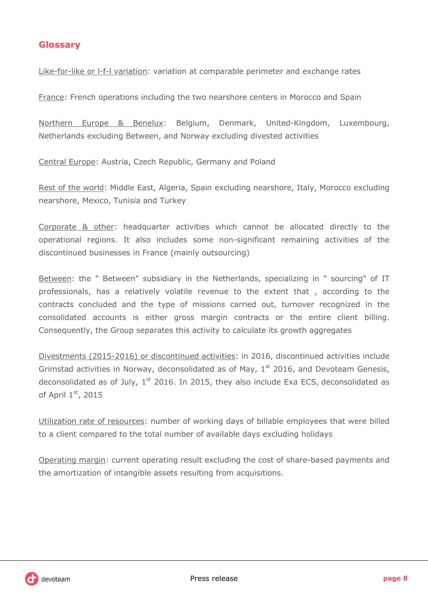### **Glossary**

Like-for-like or l-f-l variation: variation at comparable perimeter and exchange rates

France: French operations including the two nearshore centers in Morocco and Spain

Northern Europe & Benelux: Belgium, Denmark, United-Kingdom, Luxembourg, Netherlands excluding Between, and Norway excluding divested activities

Central Europe: Austria, Czech Republic, Germany and Poland

Rest of the world: Middle East, Algeria, Spain excluding nearshore, Italy, Morocco excluding nearshore, Mexico, Tunisia and Turkey

Corporate & other: headquarter activities which cannot be allocated directly to the operational regions. It also includes some non-significant remaining activities of the discontinued businesses in France (mainly outsourcing)

Between: the " Between" subsidiary in the Netherlands, specializing in " sourcing" of IT professionals, has a relatively volatile revenue to the extent that , according to the contracts concluded and the type of missions carried out, turnover recognized in the consolidated accounts is either gross margin contracts or the entire client billing. Consequently, the Group separates this activity to calculate its growth aggregates

Divestments (2015-2016) or discontinued activities: in 2016, discontinued activities include Grimstad activities in Norway, deconsolidated as of May,  $1<sup>st</sup>$  2016, and Devoteam Genesis, deconsolidated as of July,  $1<sup>st</sup>$  2016. In 2015, they also include Exa ECS, deconsolidated as of April 1st, 2015

Utilization rate of resources: number of working days of billable employees that were billed to a client compared to the total number of available days excluding holidays

Operating margin: current operating result excluding the cost of share-based payments and the amortization of intangible assets resulting from acquisitions.